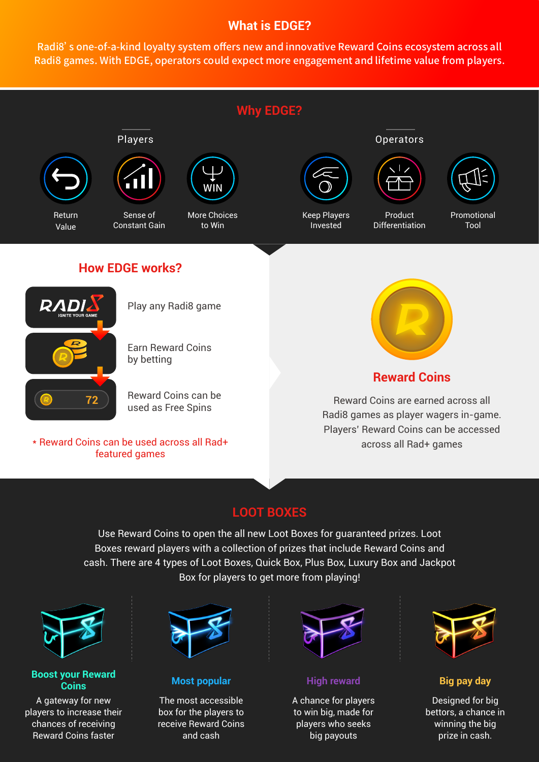## **What is EDGE?**

Radi8's one-of-a-kind loyalty system offers new and innovative Reward Coins ecosystem across all Radi8 games. With EDGE, operators could expect more engagement and lifetime value from players.



Use Reward Coins to open the all new Loot Boxes for guaranteed prizes. Loot Boxes reward players with a collection of prizes that include Reward Coins and cash. There are 4 types of Loot Boxes, Quick Box, Plus Box, Luxury Box and Jackpot Box for players to get more from playing!



#### **Boost your Reward Coins**

A gateway for new players to increase their chances of receiving Reward Coins faster



**Most popular**

The most accessible box for the players to receive Reward Coins and cash



**High reward**

A chance for players to win big, made for players who seeks big payouts



**Big pay day**

Designed for big bettors, a chance in winning the big prize in cash.